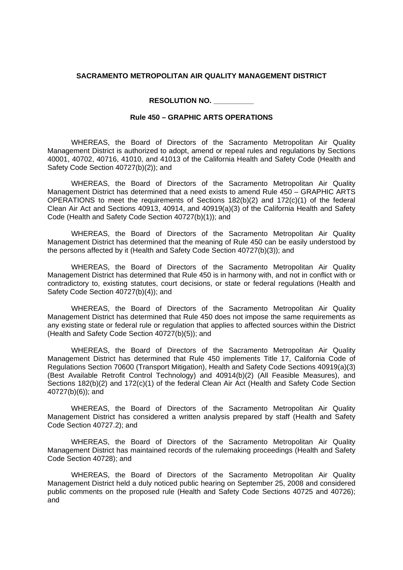## **SACRAMENTO METROPOLITAN AIR QUALITY MANAGEMENT DISTRICT**

**RESOLUTION NO. \_\_\_\_\_\_\_\_\_\_**

## **Rule 450 – GRAPHIC ARTS OPERATIONS**

WHEREAS, the Board of Directors of the Sacramento Metropolitan Air Quality Management District is authorized to adopt, amend or repeal rules and regulations by Sections 40001, 40702, 40716, 41010, and 41013 of the California Health and Safety Code (Health and Safety Code Section 40727(b)(2)); and

WHEREAS, the Board of Directors of the Sacramento Metropolitan Air Quality Management District has determined that a need exists to amend Rule 450 – GRAPHIC ARTS OPERATIONS to meet the requirements of Sections  $182(b)(2)$  and  $172(c)(1)$  of the federal Clean Air Act and Sections 40913, 40914, and 40919(a)(3) of the California Health and Safety Code (Health and Safety Code Section 40727(b)(1)); and

WHEREAS, the Board of Directors of the Sacramento Metropolitan Air Quality Management District has determined that the meaning of Rule 450 can be easily understood by the persons affected by it (Health and Safety Code Section 40727(b)(3)); and

WHEREAS, the Board of Directors of the Sacramento Metropolitan Air Quality Management District has determined that Rule 450 is in harmony with, and not in conflict with or contradictory to, existing statutes, court decisions, or state or federal regulations (Health and Safety Code Section 40727(b)(4)); and

WHEREAS, the Board of Directors of the Sacramento Metropolitan Air Quality Management District has determined that Rule 450 does not impose the same requirements as any existing state or federal rule or regulation that applies to affected sources within the District (Health and Safety Code Section 40727(b)(5)); and

WHEREAS, the Board of Directors of the Sacramento Metropolitan Air Quality Management District has determined that Rule 450 implements Title 17, California Code of Regulations Section 70600 (Transport Mitigation), Health and Safety Code Sections 40919(a)(3) (Best Available Retrofit Control Technology) and 40914(b)(2) (All Feasible Measures), and Sections 182(b)(2) and 172(c)(1) of the federal Clean Air Act (Health and Safety Code Section 40727(b)(6)); and

WHEREAS, the Board of Directors of the Sacramento Metropolitan Air Quality Management District has considered a written analysis prepared by staff (Health and Safety Code Section 40727.2); and

WHEREAS, the Board of Directors of the Sacramento Metropolitan Air Quality Management District has maintained records of the rulemaking proceedings (Health and Safety Code Section 40728); and

WHEREAS, the Board of Directors of the Sacramento Metropolitan Air Quality Management District held a duly noticed public hearing on September 25, 2008 and considered public comments on the proposed rule (Health and Safety Code Sections 40725 and 40726); and